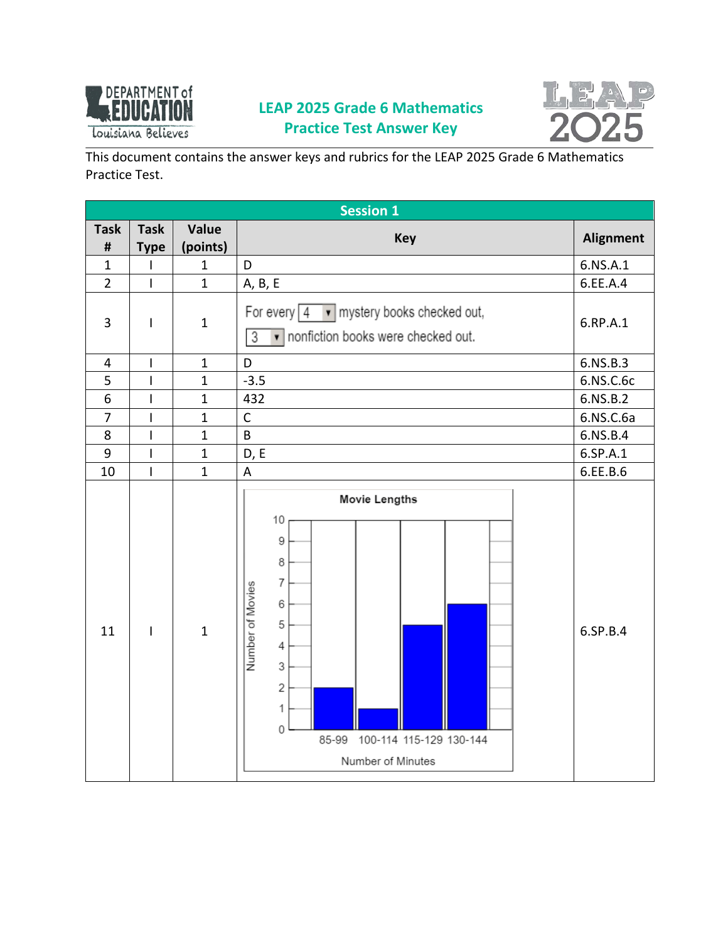

## **LEAP 2025 Grade 6 Mathematics Practice Test Answer Key**



This document contains the answer keys and rubrics for the LEAP 2025 Grade 6 Mathematics Practice Test.

|                | <b>Session 1</b>         |                |                                                                                                                                                                                                     |                  |  |
|----------------|--------------------------|----------------|-----------------------------------------------------------------------------------------------------------------------------------------------------------------------------------------------------|------------------|--|
| <b>Task</b>    | <b>Task</b>              | <b>Value</b>   | <b>Key</b>                                                                                                                                                                                          | <b>Alignment</b> |  |
| $\pmb{\sharp}$ | <b>Type</b>              | (points)       |                                                                                                                                                                                                     |                  |  |
| $\mathbf{1}$   | $\mathsf{l}$             | $\mathbf{1}$   | D                                                                                                                                                                                                   | 6.NS.A.1         |  |
| $\overline{2}$ | $\overline{1}$           | $\mathbf{1}$   | A, B, E                                                                                                                                                                                             | 6.EE.A.4         |  |
| 3              | $\overline{\phantom{a}}$ | $\mathbf{1}$   | mystery books checked out,<br>For every $4$<br>nonfiction books were checked out.<br>3<br>▾┆                                                                                                        | 6.RP.A.1         |  |
| $\overline{4}$ | $\overline{\phantom{a}}$ | $\mathbf{1}$   | D                                                                                                                                                                                                   | 6.NS.B.3         |  |
| 5              | $\mathbf{I}$             | $\mathbf{1}$   | $-3.5$                                                                                                                                                                                              | 6.NS.C.6c        |  |
| 6              | $\mathsf I$              | $\mathbf{1}$   | 432                                                                                                                                                                                                 | 6.NS.B.2         |  |
| $\overline{7}$ | $\overline{1}$           | $\mathbf{1}$   | $\mathsf{C}$                                                                                                                                                                                        | 6.NS.C.6a        |  |
| 8              | $\overline{\phantom{a}}$ | $\mathbf{1}$   | $\sf B$                                                                                                                                                                                             | 6.NS.B.4         |  |
| 9              | $\overline{\phantom{a}}$ | $\mathbf{1}$   | D, E                                                                                                                                                                                                | 6.SP.A.1         |  |
| 10             | $\overline{1}$           | $\overline{1}$ | $\overline{\mathsf{A}}$                                                                                                                                                                             | 6.EE.B.6         |  |
| 11             | $\mathsf{I}$             | $\mathbf{1}$   | Movie Lengths<br>10<br>9<br>8<br>$\overline{7}$<br>Number of Movies<br>6<br>5<br>$\overline{4}$<br>3<br>$\overline{c}$<br>1<br>$\mathbf 0$<br>100-114 115-129 130-144<br>85-99<br>Number of Minutes | 6.SP.B.4         |  |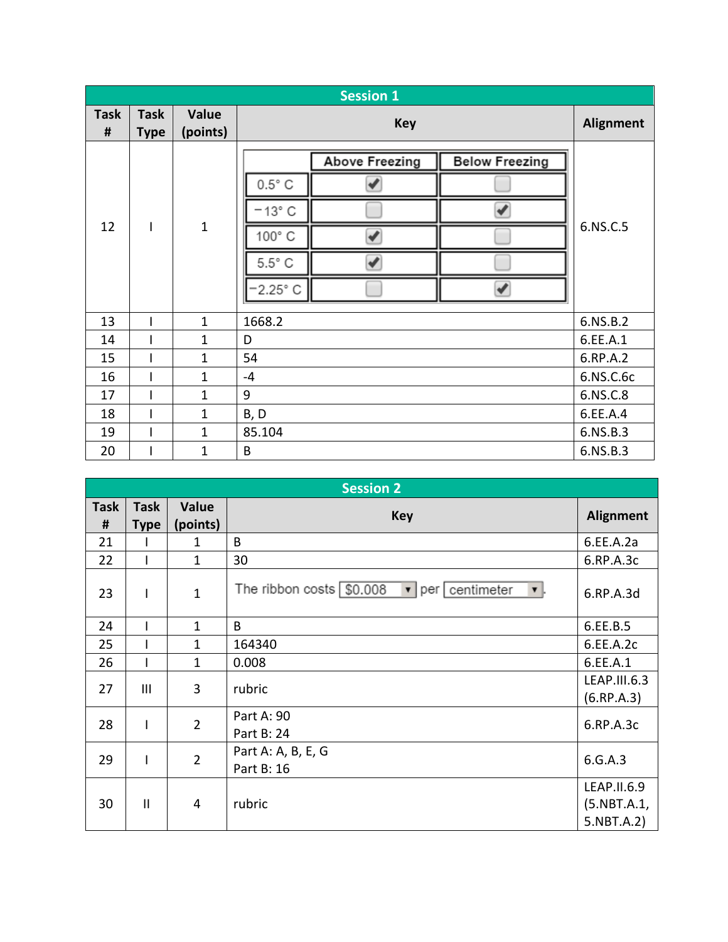|                  | <b>Session 1</b>           |                   |                                         |                  |                        |  |
|------------------|----------------------------|-------------------|-----------------------------------------|------------------|------------------------|--|
| <b>Task</b><br># | <b>Task</b><br><b>Type</b> | Value<br>(points) | <b>Key</b>                              | <b>Alignment</b> |                        |  |
|                  |                            |                   | Above Freezing<br><b>Below Freezing</b> |                  |                        |  |
|                  |                            |                   | $0.5^{\circ}$ C                         |                  |                        |  |
|                  |                            |                   | $-13^\circ$ C                           |                  |                        |  |
| 12               | T                          | $\mathbf{1}$      | 100° C                                  | 6.NS.C.5         |                        |  |
|                  |                            |                   | $5.5^{\circ}$ C                         |                  |                        |  |
|                  |                            |                   |                                         |                  | ✔<br>$-2.25^{\circ}$ C |  |
| 13               |                            | $\mathbf{1}$      | 1668.2                                  | 6.NS.B.2         |                        |  |
| 14               |                            | $\mathbf{1}$      | D                                       | 6.EE.A.1         |                        |  |
| 15               |                            | $\mathbf{1}$      | 54                                      | 6.RP.A.2         |                        |  |
| 16               |                            | $\mathbf{1}$      | $-4$                                    | 6.NS.C.6c        |                        |  |
| 17               |                            | $\mathbf{1}$      | 9                                       | 6.NS.C.8         |                        |  |
| 18               |                            | $\mathbf{1}$      | B, D                                    | 6.EE.A.4         |                        |  |
| 19               |                            | 1                 | 85.104                                  | 6.NS.B.3         |                        |  |
| 20               |                            | $\mathbf 1$       | B                                       | 6.NS.B.3         |                        |  |

|                  | <b>Session 2</b>           |                   |                                                        |                                               |  |
|------------------|----------------------------|-------------------|--------------------------------------------------------|-----------------------------------------------|--|
| <b>Task</b><br># | <b>Task</b><br><b>Type</b> | Value<br>(points) | <b>Key</b>                                             | <b>Alignment</b>                              |  |
| 21               |                            | 1                 | B                                                      | 6.EE.A.2a                                     |  |
| 22               |                            | $\mathbf{1}$      | 30                                                     | 6.RP.A.3c                                     |  |
| 23               |                            | $\mathbf{1}$      | The ribbon costs \$0.008<br>v   per   centimeter<br>v. | 6.RP.A.3d                                     |  |
| 24               |                            | $\mathbf{1}$      | B                                                      | 6.EE.B.5                                      |  |
| 25               |                            | $\mathbf{1}$      | 164340                                                 | 6.EE.A.2c                                     |  |
| 26               |                            | $\mathbf{1}$      | 0.008                                                  | 6.EE.A.1                                      |  |
| 27               | III                        | 3                 | rubric                                                 | LEAP.III.6.3<br>(6.RP.A.3)                    |  |
| 28               |                            | $\overline{2}$    | Part A: 90<br>Part B: 24                               | 6.RP.A.3c                                     |  |
| 29               |                            | $\overline{2}$    | Part A: A, B, E, G<br>Part B: 16                       | 6.G.A.3                                       |  |
| 30               | $\mathbf{I}$               | 4                 | rubric                                                 | LEAP.II.6.9<br>$(5.$ NBT $.A.1$<br>5.NBT.A.2) |  |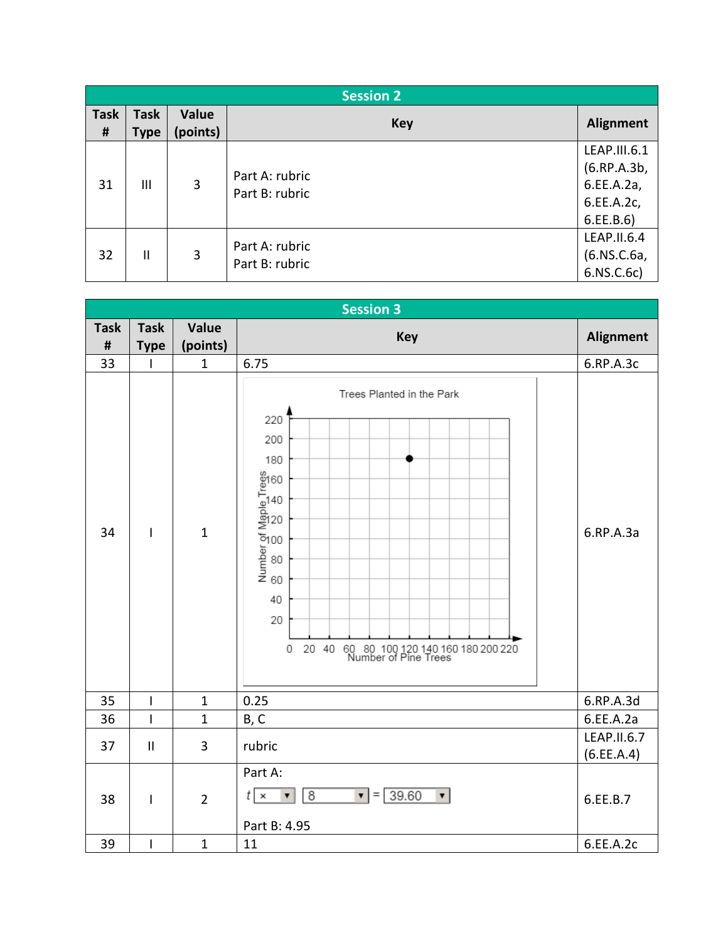|                  | <b>Session 2</b>           |                   |                                  |                                                                      |  |
|------------------|----------------------------|-------------------|----------------------------------|----------------------------------------------------------------------|--|
| <b>Task</b><br># | <b>Task</b><br><b>Type</b> | Value<br>(points) | <b>Key</b>                       | <b>Alignment</b>                                                     |  |
| 31               | Ш                          | 3                 | Part A: rubric<br>Part B: rubric | LEAP.III.6.1<br>(6.RP.A.3b,<br>6.EE.A.2a,<br>6.EE.A.2c,<br>6.EE.B.6) |  |
| 32               | Ш                          | 3                 | Part A: rubric<br>Part B: rubric | LEAP.II.6.4<br>(6.NS.C.6a,<br>6.NS.C.6c)                             |  |

|                |                          | <b>Session 3</b> |                                                                                                                                                                                                          |                           |  |  |
|----------------|--------------------------|------------------|----------------------------------------------------------------------------------------------------------------------------------------------------------------------------------------------------------|---------------------------|--|--|
| <b>Task</b>    | <b>Task</b>              | Value            | <b>Key</b>                                                                                                                                                                                               | <b>Alignment</b>          |  |  |
| $\pmb{\sharp}$ | <b>Type</b>              | (points)         |                                                                                                                                                                                                          |                           |  |  |
| 33             | ı                        | $\mathbf{1}$     | 6.75                                                                                                                                                                                                     | 6.RP.A.3c                 |  |  |
| 34             | $\overline{\phantom{a}}$ | $\mathbf{1}$     | Trees Planted in the Park<br>220<br>200<br>180<br>Number of Maple Trees<br>8<br>8<br>8<br>8<br>8<br>8<br>8<br>8<br>8<br>40<br>20<br>20 40 60 80 100 120 140 160 180 200 220<br>Number of Pine Trees<br>0 | 6.RP.A.3a                 |  |  |
| 35             | $\overline{\phantom{a}}$ | $\mathbf{1}$     | 0.25                                                                                                                                                                                                     | 6.RP.A.3d                 |  |  |
| 36             | $\overline{1}$           | $\mathbf{1}$     | B, C                                                                                                                                                                                                     | 6.EE.A.2a                 |  |  |
| 37             | $\sf II$                 | 3                | rubric                                                                                                                                                                                                   | LEAP.II.6.7<br>(6.EE.A.4) |  |  |
| 38             | $\overline{\phantom{a}}$ | $\overline{2}$   | Part A:<br>$\bullet$ = 39.60<br>8<br>$t \times$<br>▼<br>$\overline{\mathbf{v}}$<br>Part B: 4.95                                                                                                          | 6.EE.B.7                  |  |  |
| 39             | $\mathbf{I}$             | $\mathbf{1}$     | 11                                                                                                                                                                                                       | 6.EE.A.2c                 |  |  |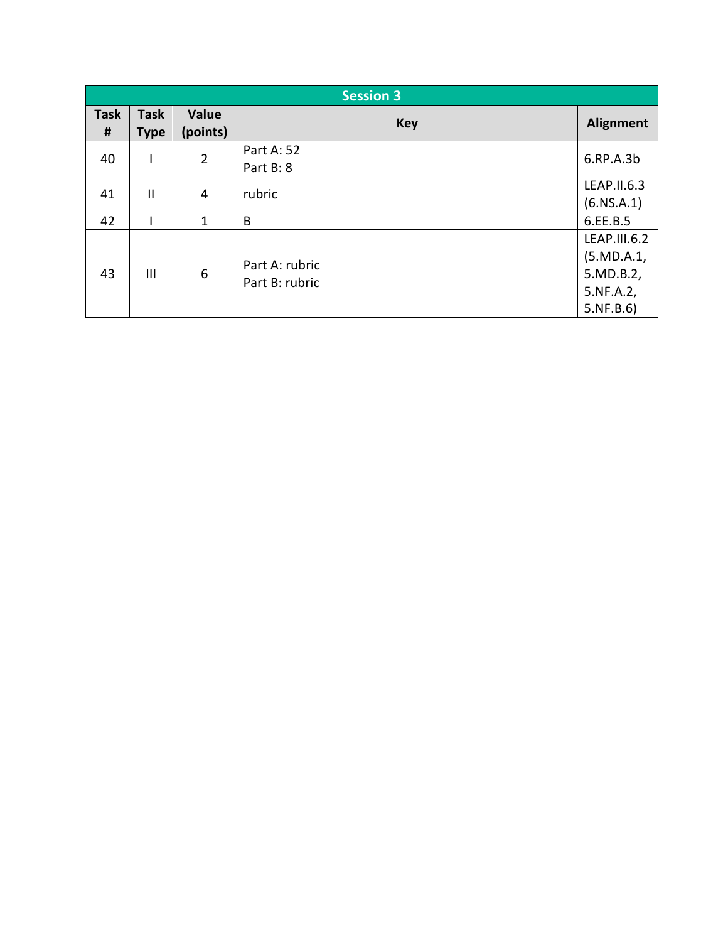|                  | <b>Session 3</b>           |                   |                                  |                                                                   |
|------------------|----------------------------|-------------------|----------------------------------|-------------------------------------------------------------------|
| <b>Task</b><br># | <b>Task</b><br><b>Type</b> | Value<br>(points) | <b>Key</b>                       | <b>Alignment</b>                                                  |
| 40               |                            | $\overline{2}$    | Part A: 52<br>Part B: 8          | 6.RP.A.3b                                                         |
| 41               | $\mathbf{I}$               | 4                 | rubric                           | LEAP.II.6.3<br>(6.NS.A.1)                                         |
| 42               |                            | 1                 | B                                | 6.EE.B.5                                                          |
| 43               | III                        | 6                 | Part A: rubric<br>Part B: rubric | LEAP.III.6.2<br>(5.MD.A.1)<br>5.MD.B.2,<br>5.NF.A.2,<br>5.NF.B.6) |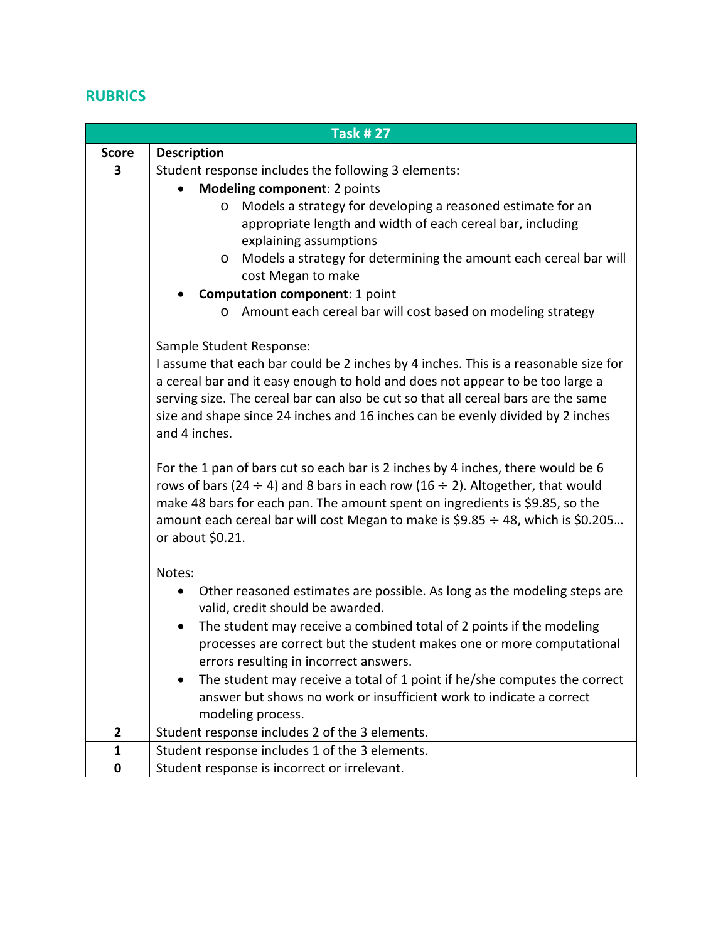## **RUBRICS**

| <b>Task #27</b> |                                                                                                                                                                      |  |
|-----------------|----------------------------------------------------------------------------------------------------------------------------------------------------------------------|--|
| <b>Score</b>    | <b>Description</b>                                                                                                                                                   |  |
| 3               | Student response includes the following 3 elements:                                                                                                                  |  |
|                 | Modeling component: 2 points                                                                                                                                         |  |
|                 | Models a strategy for developing a reasoned estimate for an<br>$\circ$                                                                                               |  |
|                 | appropriate length and width of each cereal bar, including                                                                                                           |  |
|                 | explaining assumptions                                                                                                                                               |  |
|                 | Models a strategy for determining the amount each cereal bar will<br>$\circ$                                                                                         |  |
|                 | cost Megan to make                                                                                                                                                   |  |
|                 | <b>Computation component: 1 point</b>                                                                                                                                |  |
|                 | Amount each cereal bar will cost based on modeling strategy<br>$\circ$                                                                                               |  |
|                 |                                                                                                                                                                      |  |
|                 | Sample Student Response:                                                                                                                                             |  |
|                 | I assume that each bar could be 2 inches by 4 inches. This is a reasonable size for<br>a cereal bar and it easy enough to hold and does not appear to be too large a |  |
|                 | serving size. The cereal bar can also be cut so that all cereal bars are the same                                                                                    |  |
|                 | size and shape since 24 inches and 16 inches can be evenly divided by 2 inches                                                                                       |  |
|                 | and 4 inches.                                                                                                                                                        |  |
|                 |                                                                                                                                                                      |  |
|                 | For the 1 pan of bars cut so each bar is 2 inches by 4 inches, there would be 6                                                                                      |  |
|                 | rows of bars (24 $\div$ 4) and 8 bars in each row (16 $\div$ 2). Altogether, that would                                                                              |  |
|                 | make 48 bars for each pan. The amount spent on ingredients is \$9.85, so the                                                                                         |  |
|                 | amount each cereal bar will cost Megan to make is \$9.85 $\div$ 48, which is \$0.205                                                                                 |  |
|                 | or about \$0.21.                                                                                                                                                     |  |
|                 | Notes:                                                                                                                                                               |  |
|                 | Other reasoned estimates are possible. As long as the modeling steps are<br>$\bullet$                                                                                |  |
|                 | valid, credit should be awarded.                                                                                                                                     |  |
|                 | The student may receive a combined total of 2 points if the modeling<br>$\bullet$                                                                                    |  |
|                 | processes are correct but the student makes one or more computational                                                                                                |  |
|                 | errors resulting in incorrect answers.                                                                                                                               |  |
|                 | The student may receive a total of 1 point if he/she computes the correct                                                                                            |  |
|                 | answer but shows no work or insufficient work to indicate a correct                                                                                                  |  |
|                 | modeling process.                                                                                                                                                    |  |
| 2               | Student response includes 2 of the 3 elements.                                                                                                                       |  |
| $\mathbf{1}$    | Student response includes 1 of the 3 elements.                                                                                                                       |  |
| $\pmb{0}$       | Student response is incorrect or irrelevant.                                                                                                                         |  |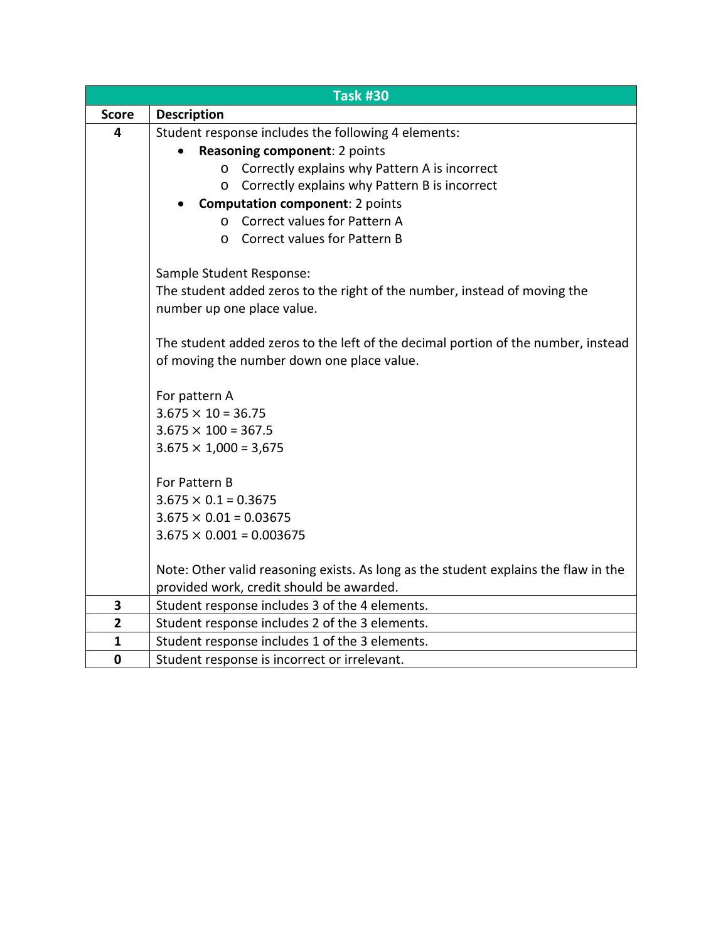|                | <b>Task #30</b>                                                                                                                 |  |
|----------------|---------------------------------------------------------------------------------------------------------------------------------|--|
| <b>Score</b>   | <b>Description</b>                                                                                                              |  |
| 4              | Student response includes the following 4 elements:                                                                             |  |
|                | Reasoning component: 2 points                                                                                                   |  |
|                | Correctly explains why Pattern A is incorrect<br>$\circ$                                                                        |  |
|                | Correctly explains why Pattern B is incorrect<br>$\circ$                                                                        |  |
|                | <b>Computation component: 2 points</b>                                                                                          |  |
|                | Correct values for Pattern A<br>$\Omega$                                                                                        |  |
|                | <b>Correct values for Pattern B</b><br>$\Omega$                                                                                 |  |
|                | Sample Student Response:                                                                                                        |  |
|                | The student added zeros to the right of the number, instead of moving the                                                       |  |
|                | number up one place value.                                                                                                      |  |
|                | The student added zeros to the left of the decimal portion of the number, instead                                               |  |
|                | of moving the number down one place value.                                                                                      |  |
|                | For pattern A                                                                                                                   |  |
|                | $3.675 \times 10 = 36.75$                                                                                                       |  |
|                | $3.675 \times 100 = 367.5$                                                                                                      |  |
|                | $3.675 \times 1,000 = 3,675$                                                                                                    |  |
|                | For Pattern B                                                                                                                   |  |
|                | $3.675 \times 0.1 = 0.3675$                                                                                                     |  |
|                | $3.675 \times 0.01 = 0.03675$                                                                                                   |  |
|                | $3.675 \times 0.001 = 0.003675$                                                                                                 |  |
|                |                                                                                                                                 |  |
|                | Note: Other valid reasoning exists. As long as the student explains the flaw in the<br>provided work, credit should be awarded. |  |
| 3              | Student response includes 3 of the 4 elements.                                                                                  |  |
| $\overline{2}$ | Student response includes 2 of the 3 elements.                                                                                  |  |
| $\mathbf{1}$   | Student response includes 1 of the 3 elements.                                                                                  |  |
| $\mathbf 0$    | Student response is incorrect or irrelevant.                                                                                    |  |
|                |                                                                                                                                 |  |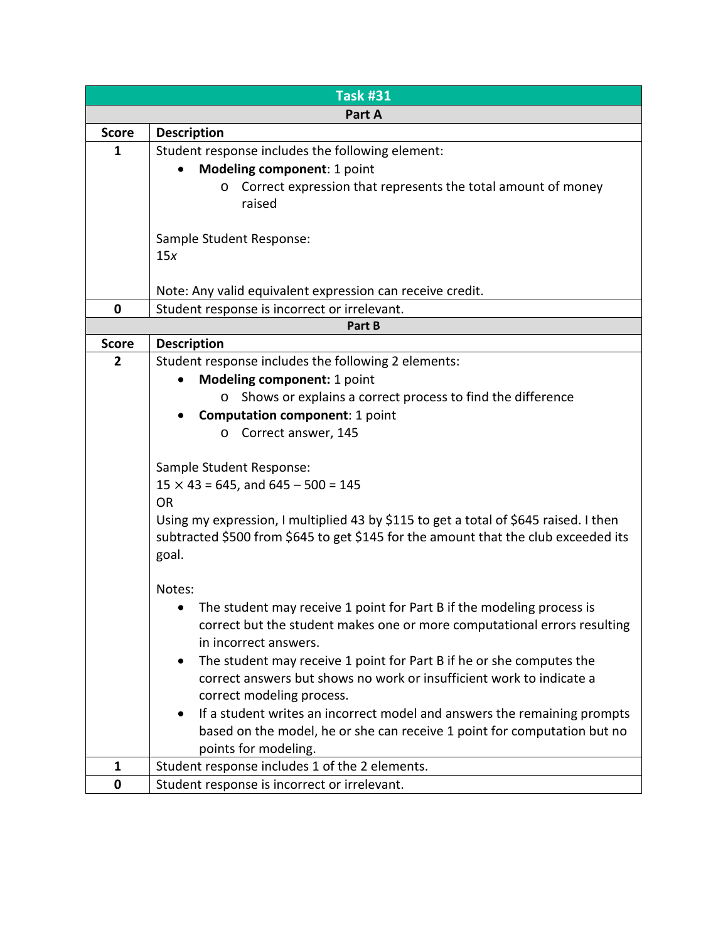|                | <b>Task #31</b>                                                                      |  |  |
|----------------|--------------------------------------------------------------------------------------|--|--|
|                | Part A                                                                               |  |  |
| <b>Score</b>   | <b>Description</b>                                                                   |  |  |
| 1              | Student response includes the following element:                                     |  |  |
|                | Modeling component: 1 point                                                          |  |  |
|                | Correct expression that represents the total amount of money<br>$\circ$              |  |  |
|                | raised                                                                               |  |  |
|                |                                                                                      |  |  |
|                | Sample Student Response:                                                             |  |  |
|                | 15x                                                                                  |  |  |
|                |                                                                                      |  |  |
|                | Note: Any valid equivalent expression can receive credit.                            |  |  |
| $\mathbf 0$    | Student response is incorrect or irrelevant.                                         |  |  |
|                | Part B                                                                               |  |  |
| <b>Score</b>   | <b>Description</b>                                                                   |  |  |
| $\overline{2}$ | Student response includes the following 2 elements:                                  |  |  |
|                | Modeling component: 1 point                                                          |  |  |
|                | Shows or explains a correct process to find the difference<br>$\circ$                |  |  |
|                | <b>Computation component: 1 point</b>                                                |  |  |
|                | Correct answer, 145<br>$\circ$                                                       |  |  |
|                |                                                                                      |  |  |
|                | Sample Student Response:                                                             |  |  |
|                | $15 \times 43 = 645$ , and $645 - 500 = 145$                                         |  |  |
|                | <b>OR</b>                                                                            |  |  |
|                | Using my expression, I multiplied 43 by \$115 to get a total of \$645 raised. I then |  |  |
|                | subtracted \$500 from \$645 to get \$145 for the amount that the club exceeded its   |  |  |
|                | goal.                                                                                |  |  |
|                |                                                                                      |  |  |
|                | Notes:                                                                               |  |  |
|                | The student may receive 1 point for Part B if the modeling process is                |  |  |
|                | correct but the student makes one or more computational errors resulting             |  |  |
|                | in incorrect answers.                                                                |  |  |
|                | The student may receive 1 point for Part B if he or she computes the<br>$\bullet$    |  |  |
|                | correct answers but shows no work or insufficient work to indicate a                 |  |  |
|                | correct modeling process.                                                            |  |  |
|                | If a student writes an incorrect model and answers the remaining prompts             |  |  |
|                | based on the model, he or she can receive 1 point for computation but no             |  |  |
|                | points for modeling.                                                                 |  |  |
| $\mathbf{1}$   | Student response includes 1 of the 2 elements.                                       |  |  |
| $\mathbf 0$    | Student response is incorrect or irrelevant.                                         |  |  |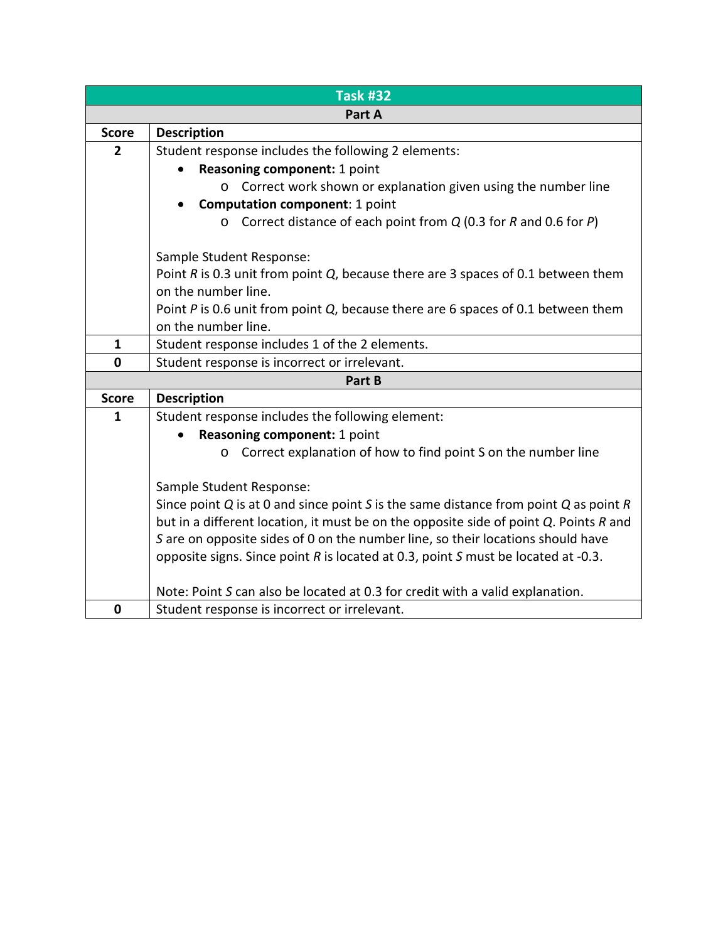|                | <b>Task #32</b>                                                                            |  |  |  |  |
|----------------|--------------------------------------------------------------------------------------------|--|--|--|--|
|                | Part A                                                                                     |  |  |  |  |
| <b>Score</b>   | <b>Description</b>                                                                         |  |  |  |  |
| $\overline{2}$ | Student response includes the following 2 elements:                                        |  |  |  |  |
|                | Reasoning component: 1 point                                                               |  |  |  |  |
|                | Correct work shown or explanation given using the number line<br>$\circ$                   |  |  |  |  |
|                | <b>Computation component: 1 point</b>                                                      |  |  |  |  |
|                | Correct distance of each point from $Q$ (0.3 for R and 0.6 for P)<br>$\Omega$              |  |  |  |  |
|                | Sample Student Response:                                                                   |  |  |  |  |
|                | Point $R$ is 0.3 unit from point $Q$ , because there are 3 spaces of 0.1 between them      |  |  |  |  |
|                | on the number line.                                                                        |  |  |  |  |
|                | Point P is 0.6 unit from point Q, because there are 6 spaces of 0.1 between them           |  |  |  |  |
|                | on the number line.                                                                        |  |  |  |  |
| $\mathbf{1}$   | Student response includes 1 of the 2 elements.                                             |  |  |  |  |
| $\mathbf 0$    | Student response is incorrect or irrelevant.                                               |  |  |  |  |
|                | Part B                                                                                     |  |  |  |  |
| <b>Score</b>   | <b>Description</b>                                                                         |  |  |  |  |
| $\mathbf{1}$   | Student response includes the following element:                                           |  |  |  |  |
|                | Reasoning component: 1 point                                                               |  |  |  |  |
|                | Correct explanation of how to find point S on the number line<br>$\circ$                   |  |  |  |  |
|                | Sample Student Response:                                                                   |  |  |  |  |
|                | Since point $Q$ is at 0 and since point S is the same distance from point $Q$ as point $R$ |  |  |  |  |
|                | but in a different location, it must be on the opposite side of point Q. Points R and      |  |  |  |  |
|                | S are on opposite sides of 0 on the number line, so their locations should have            |  |  |  |  |
|                | opposite signs. Since point R is located at 0.3, point S must be located at -0.3.          |  |  |  |  |
|                | Note: Point S can also be located at 0.3 for credit with a valid explanation.              |  |  |  |  |
| $\bf{0}$       | Student response is incorrect or irrelevant.                                               |  |  |  |  |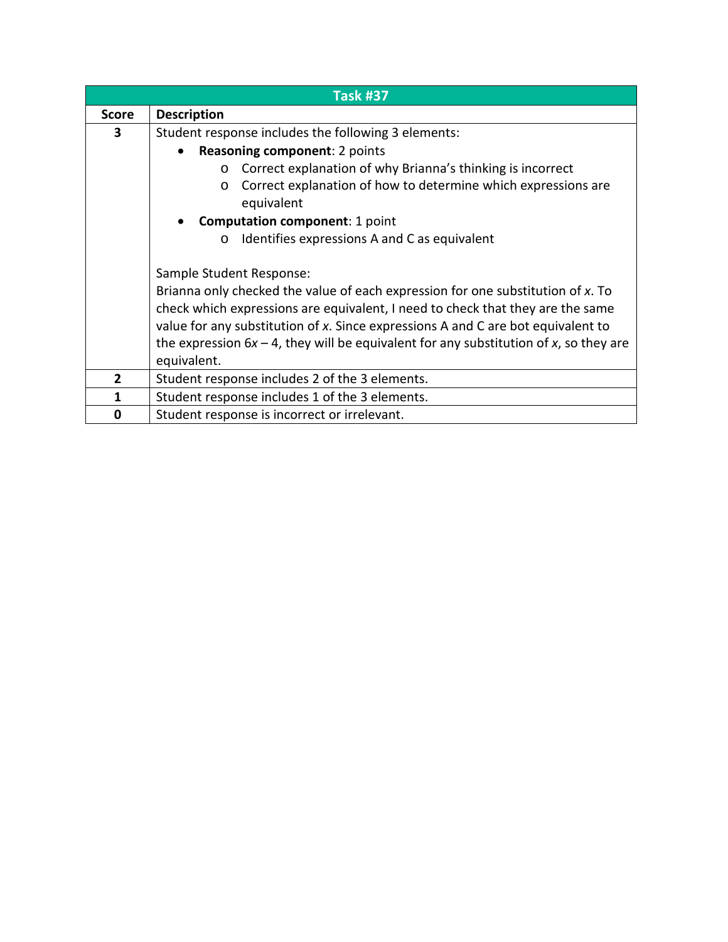|                | <b>Task #37</b>                                                                                                                                                                                                                                                                                                                                                                              |
|----------------|----------------------------------------------------------------------------------------------------------------------------------------------------------------------------------------------------------------------------------------------------------------------------------------------------------------------------------------------------------------------------------------------|
| <b>Score</b>   | <b>Description</b>                                                                                                                                                                                                                                                                                                                                                                           |
| 3              | Student response includes the following 3 elements:                                                                                                                                                                                                                                                                                                                                          |
|                | <b>Reasoning component: 2 points</b>                                                                                                                                                                                                                                                                                                                                                         |
|                | Correct explanation of why Brianna's thinking is incorrect<br>$\circ$                                                                                                                                                                                                                                                                                                                        |
|                | Correct explanation of how to determine which expressions are<br>$\circ$<br>equivalent                                                                                                                                                                                                                                                                                                       |
|                | <b>Computation component: 1 point</b>                                                                                                                                                                                                                                                                                                                                                        |
|                | Identifies expressions A and C as equivalent<br>$\circ$                                                                                                                                                                                                                                                                                                                                      |
|                | Sample Student Response:<br>Brianna only checked the value of each expression for one substitution of x. To<br>check which expressions are equivalent, I need to check that they are the same<br>value for any substitution of x. Since expressions A and C are bot equivalent to<br>the expression $6x - 4$ , they will be equivalent for any substitution of x, so they are<br>equivalent. |
| $\overline{2}$ | Student response includes 2 of the 3 elements.                                                                                                                                                                                                                                                                                                                                               |
| 1              | Student response includes 1 of the 3 elements.                                                                                                                                                                                                                                                                                                                                               |
| 0              | Student response is incorrect or irrelevant.                                                                                                                                                                                                                                                                                                                                                 |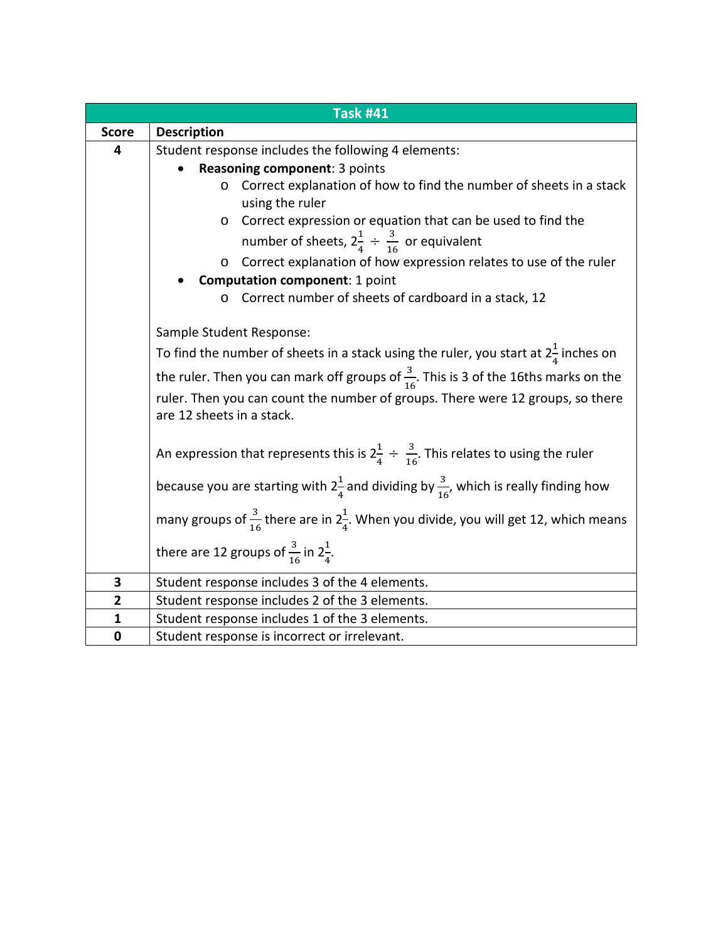|              | <b>Task #41</b>                                                                                             |
|--------------|-------------------------------------------------------------------------------------------------------------|
| <b>Score</b> | <b>Description</b>                                                                                          |
| 4            | Student response includes the following 4 elements:                                                         |
|              | Reasoning component: 3 points                                                                               |
|              | Correct explanation of how to find the number of sheets in a stack<br>O<br>using the ruler                  |
|              | Correct expression or equation that can be used to find the<br>O                                            |
|              | number of sheets, $2\frac{1}{4} \div \frac{3}{16}$ or equivalent                                            |
|              | Correct explanation of how expression relates to use of the ruler<br>O                                      |
|              | <b>Computation component: 1 point</b>                                                                       |
|              | Correct number of sheets of cardboard in a stack, 12                                                        |
|              | Sample Student Response:                                                                                    |
|              | To find the number of sheets in a stack using the ruler, you start at $2\frac{1}{4}$ inches on              |
|              |                                                                                                             |
|              | the ruler. Then you can mark off groups of $\frac{3}{16}$ . This is 3 of the 16ths marks on the             |
|              | ruler. Then you can count the number of groups. There were 12 groups, so there<br>are 12 sheets in a stack. |
|              |                                                                                                             |
|              | An expression that represents this is $2\frac{1}{4} \div \frac{3}{16}$ . This relates to using the ruler    |
|              | because you are starting with $2\frac{1}{4}$ and dividing by $\frac{3}{16}$ , which is really finding how   |
|              | many groups of $\frac{3}{16}$ there are in $2\frac{1}{4}$ . When you divide, you will get 12, which means   |
|              | there are 12 groups of $\frac{3}{16}$ in $2\frac{1}{4}$ .                                                   |
| 3            | Student response includes 3 of the 4 elements.                                                              |
| $\mathbf{2}$ | Student response includes 2 of the 3 elements.                                                              |
| $\mathbf{1}$ | Student response includes 1 of the 3 elements.                                                              |
| 0            | Student response is incorrect or irrelevant.                                                                |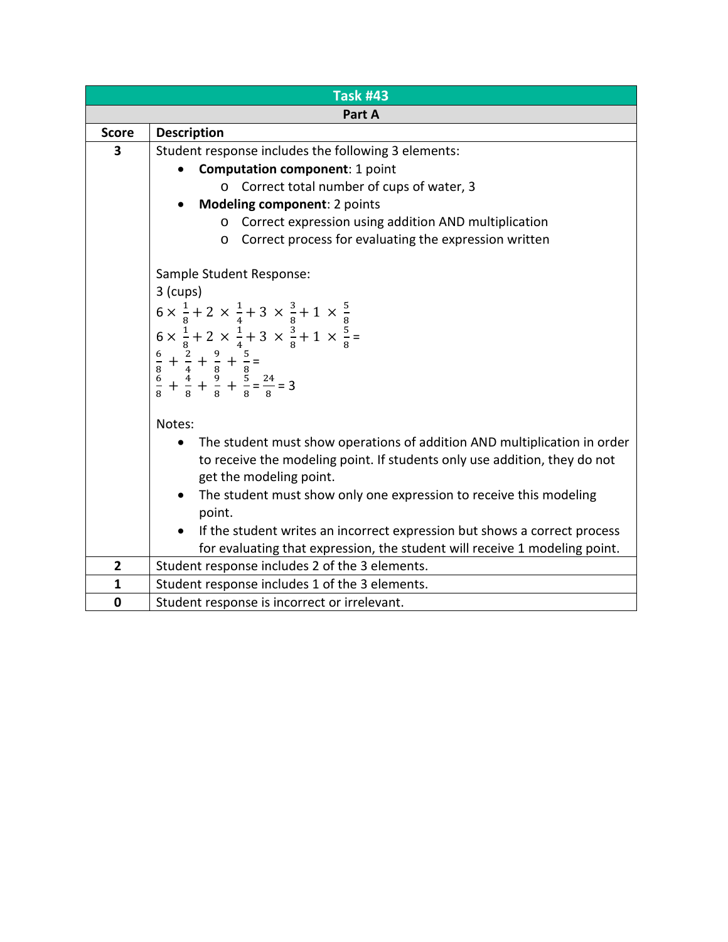| <b>Task #43</b> |                                                                                                                                                                                                                                                                                                                                                                                                                                       |  |
|-----------------|---------------------------------------------------------------------------------------------------------------------------------------------------------------------------------------------------------------------------------------------------------------------------------------------------------------------------------------------------------------------------------------------------------------------------------------|--|
| Part A          |                                                                                                                                                                                                                                                                                                                                                                                                                                       |  |
| <b>Score</b>    | <b>Description</b>                                                                                                                                                                                                                                                                                                                                                                                                                    |  |
| 3               | Student response includes the following 3 elements:                                                                                                                                                                                                                                                                                                                                                                                   |  |
|                 | <b>Computation component: 1 point</b>                                                                                                                                                                                                                                                                                                                                                                                                 |  |
|                 | o Correct total number of cups of water, 3                                                                                                                                                                                                                                                                                                                                                                                            |  |
|                 | Modeling component: 2 points                                                                                                                                                                                                                                                                                                                                                                                                          |  |
|                 | Correct expression using addition AND multiplication<br>O                                                                                                                                                                                                                                                                                                                                                                             |  |
|                 | Correct process for evaluating the expression written<br>O                                                                                                                                                                                                                                                                                                                                                                            |  |
|                 | Sample Student Response:<br>$3$ (cups)<br>$6 \times \frac{1}{8} + 2 \times \frac{1}{4} + 3 \times \frac{3}{8} + 1 \times \frac{5}{8}$<br>$6 \times \frac{1}{8} + 2 \times \frac{1}{4} + 3 \times \frac{3}{8} + 1 \times \frac{5}{8} =$<br>$\frac{6}{8} + \frac{2}{4} + \frac{9}{8} + \frac{5}{8} =$<br>$\frac{6}{8} + \frac{4}{8} + \frac{9}{8} + \frac{5}{8} = \frac{24}{8} = 3$                                                     |  |
|                 | Notes:<br>The student must show operations of addition AND multiplication in order<br>to receive the modeling point. If students only use addition, they do not<br>get the modeling point.<br>The student must show only one expression to receive this modeling<br>point.<br>If the student writes an incorrect expression but shows a correct process<br>for evaluating that expression, the student will receive 1 modeling point. |  |
| $\overline{2}$  | Student response includes 2 of the 3 elements.                                                                                                                                                                                                                                                                                                                                                                                        |  |
| $\mathbf{1}$    | Student response includes 1 of the 3 elements.                                                                                                                                                                                                                                                                                                                                                                                        |  |
| $\mathbf 0$     | Student response is incorrect or irrelevant.                                                                                                                                                                                                                                                                                                                                                                                          |  |